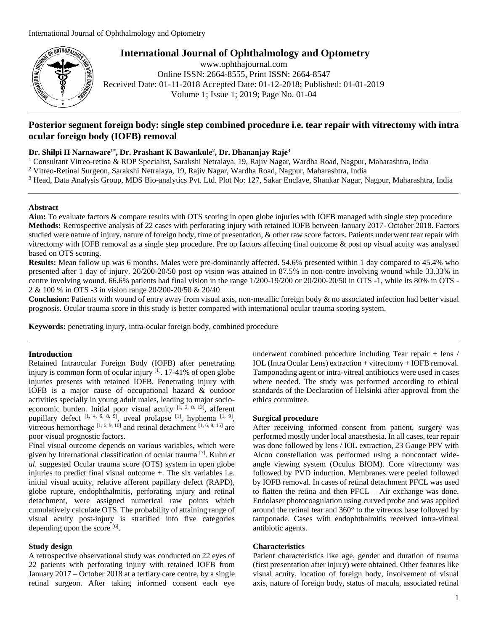

**International Journal of Ophthalmology and Optometry**

www.ophthajournal.com Online ISSN: 2664-8555, Print ISSN: 2664-8547 Received Date: 01-11-2018 Accepted Date: 01-12-2018; Published: 01-01-2019 Volume 1; Issue 1; 2019; Page No. 01-04

# **Posterior segment foreign body: single step combined procedure i.e. tear repair with vitrectomy with intra ocular foreign body (IOFB) removal**

## **Dr. Shilpi H Narnaware1\* , Dr. Prashant K Bawankule<sup>2</sup> , Dr. Dhananjay Raje<sup>3</sup>**

<sup>1</sup> Consultant Vitreo-retina & ROP Specialist, Sarakshi Netralaya, 19, Rajiv Nagar, Wardha Road, Nagpur, Maharashtra, India

<sup>2</sup> Vitreo-Retinal Surgeon, Sarakshi Netralaya, 19, Rajiv Nagar, Wardha Road, Nagpur, Maharashtra, India

<sup>3</sup> Head, Data Analysis Group, MDS Bio-analytics Pvt. Ltd. Plot No: 127, Sakar Enclave, Shankar Nagar, Nagpur, Maharashtra, India

### **Abstract**

**Aim:** To evaluate factors & compare results with OTS scoring in open globe injuries with IOFB managed with single step procedure **Methods:** Retrospective analysis of 22 cases with perforating injury with retained IOFB between January 2017- October 2018. Factors studied were nature of injury, nature of foreign body, time of presentation, & other raw score factors. Patients underwent tear repair with vitrectomy with IOFB removal as a single step procedure. Pre op factors affecting final outcome & post op visual acuity was analysed based on OTS scoring.

**Results:** Mean follow up was 6 months. Males were pre-dominantly affected. 54.6% presented within 1 day compared to 45.4% who presented after 1 day of injury. 20/200-20/50 post op vision was attained in 87.5% in non-centre involving wound while 33.33% in centre involving wound. 66.6% patients had final vision in the range 1/200-19/200 or 20/200-20/50 in OTS -1, while its 80% in OTS - 2 & 100 % in OTS -3 in vision range 20/200-20/50 & 20/40

**Conclusion:** Patients with wound of entry away from visual axis, non-metallic foreign body & no associated infection had better visual prognosis. Ocular trauma score in this study is better compared with international ocular trauma scoring system.

**Keywords:** penetrating injury, intra-ocular foreign body, combined procedure

## **Introduction**

Retained Intraocular Foreign Body (IOFB) after penetrating injury is common form of ocular injury <sup>[1]</sup>. 17-41% of open globe injuries presents with retained IOFB. Penetrating injury with IOFB is a major cause of occupational hazard & outdoor activities specially in young adult males, leading to major socioeconomic burden. Initial poor visual acuity  $[1, 3, 8, 13]$ , afferent pupillary defect  $[1, 4, 6, 8, 9]$ , uveal prolapse  $[1]$ , hyphema  $[1, 9]$ , vitreous hemorrhage  $[1, 6, 9, 10]$  and retinal detachment  $[1, 6, 8, 15]$  are poor visual prognostic factors.

Final visual outcome depends on various variables, which were given by International classification of ocular trauma [7]. Kuhn *et al*. suggested Ocular trauma score (OTS) system in open globe injuries to predict final visual outcome +. The six variables i.e. initial visual acuity, relative afferent papillary defect (RAPD), globe rupture, endophthalmitis, perforating injury and retinal detachment, were assigned numerical raw points which cumulatively calculate OTS. The probability of attaining range of visual acuity post-injury is stratified into five categories depending upon the score  $[6]$ .

### **Study design**

A retrospective observational study was conducted on 22 eyes of 22 patients with perforating injury with retained IOFB from January 2017 – October 2018 at a tertiary care centre, by a single retinal surgeon. After taking informed consent each eye

underwent combined procedure including Tear repair + lens / IOL (Intra Ocular Lens) extraction + vitrectomy + IOFB removal. Tamponading agent or intra-vitreal antibiotics were used in cases where needed. The study was performed according to ethical standards of the Declaration of Helsinki after approval from the ethics committee.

#### **Surgical procedure**

After receiving informed consent from patient, surgery was performed mostly under local anaesthesia. In all cases, tear repair was done followed by lens / IOL extraction, 23 Gauge PPV with Alcon constellation was performed using a noncontact wideangle viewing system (Oculus BIOM). Core vitrectomy was followed by PVD induction. Membranes were peeled followed by IOFB removal. In cases of retinal detachment PFCL was used to flatten the retina and then PFCL – Air exchange was done. Endolaser photocoagulation using curved probe and was applied around the retinal tear and 360° to the vitreous base followed by tamponade. Cases with endophthalmitis received intra-vitreal antibiotic agents.

### **Characteristics**

Patient characteristics like age, gender and duration of trauma (first presentation after injury) were obtained. Other features like visual acuity, location of foreign body, involvement of visual axis, nature of foreign body, status of macula, associated retinal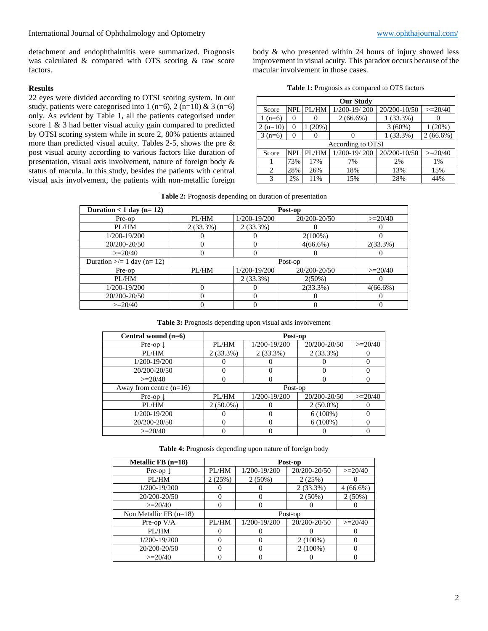detachment and endophthalmitis were summarized. Prognosis was calculated & compared with OTS scoring & raw score factors.

## **Results**

22 eyes were divided according to OTSI scoring system. In our study, patients were categorised into 1 (n=6), 2 (n=10) & 3 (n=6) only. As evident by Table 1, all the patients categorised under score 1 & 3 had better visual acuity gain compared to predicted by OTSI scoring system while in score 2, 80% patients attained more than predicted visual acuity. Tables 2-5, shows the pre & post visual acuity according to various factors like duration of presentation, visual axis involvement, nature of foreign body & status of macula. In this study, besides the patients with central visual axis involvement, the patients with non-metallic foreign body & who presented within 24 hours of injury showed less improvement in visual acuity. This paradox occurs because of the macular involvement in those cases.

|  |  | <b>Table 1:</b> Prognosis as compared to OTS factors |  |  |  |
|--|--|------------------------------------------------------|--|--|--|
|--|--|------------------------------------------------------|--|--|--|

| <b>Our Study</b>            |          |          |                  |              |             |  |
|-----------------------------|----------|----------|------------------|--------------|-------------|--|
| Score                       | NPL.     | PL/HM    | 1/200-19/200     | 20/200-10/50 | $>=20/40$   |  |
| $1(n=6)$                    |          |          | $2(66.6\%)$      | 1(33.3%)     |             |  |
| $2(n=10)$                   | $\theta$ | $(20\%)$ |                  | $3(60\%)$    | (20%)       |  |
| $3(n=6)$                    | $\theta$ |          |                  | $1(33.3\%)$  | $2(66.6\%)$ |  |
| According to OTSI           |          |          |                  |              |             |  |
| Score                       | NPI.     | PL/HM    | $1/200 - 19/200$ | 20/200-10/50 | $>=20/40$   |  |
|                             | 73%      | 17%      | 7%               | 2%           | 1%          |  |
| $\mathcal{D}_{\mathcal{A}}$ | 28%      | 26%      | 18%              | 13%          | 15%         |  |
| 3                           | 2%       | 11%      | 15%              | 28%          | 44%         |  |

**Table 2:** Prognosis depending on duration of presentation

| Duration $<$ 1 day (n= 12)     |             |              | Post-op      |             |
|--------------------------------|-------------|--------------|--------------|-------------|
| Pre-op                         | PL/HM       | 1/200-19/200 | 20/200-20/50 | $>=20/40$   |
| PL/HM                          | $2(33.3\%)$ | $2(33.3\%)$  |              |             |
| 1/200-19/200                   |             |              | $2(100\%)$   |             |
| 20/200-20/50                   |             | $\theta$     | $4(66.6\%)$  | $2(33.3\%)$ |
| $>=20/40$                      |             | 0            |              |             |
| Duration $\ge$ = 1 day (n= 12) |             |              | Post-op      |             |
| Pre-op                         | PL/HM       | 1/200-19/200 | 20/200-20/50 | $>=20/40$   |
| PL/HM                          |             | $2(33.3\%)$  | $2(50\%)$    |             |
| 1/200-19/200                   |             |              | $2(33.3\%)$  | $4(66.6\%)$ |
| 20/200-20/50                   |             | 0            |              |             |
| $>=20/40$                      |             |              |              |             |

**Table 3:** Prognosis depending upon visual axis involvement

| Central wound $(n=6)$     | Post-op     |              |              |           |
|---------------------------|-------------|--------------|--------------|-----------|
| Pre-op $\downarrow$       | PL/HM       | 1/200-19/200 | 20/200-20/50 | $>=20/40$ |
| PL/HM                     | $2(33.3\%)$ | $2(33.3\%)$  | $2(33.3\%)$  |           |
| 1/200-19/200              |             |              |              |           |
| 20/200-20/50              |             | O            |              |           |
| $>=20/40$                 | 0           | O            |              |           |
| Away from centre $(n=16)$ |             | Post-op      |              |           |
| Pre-op $\downarrow$       | PL/HM       | 1/200-19/200 | 20/200-20/50 | $>=20/40$ |
| PL/HM                     | $2(50.0\%)$ |              | $2(50.0\%)$  |           |
| 1/200-19/200              |             | 0            | $6(100\%)$   | $\Omega$  |
| 20/200-20/50              |             | 0            | $6(100\%)$   | 0         |
| $>=20/40$                 |             |              |              |           |

**Table 4:** Prognosis depending upon nature of foreign body

| Metallic FB $(n=18)$     |          |              |              |             |  |  |
|--------------------------|----------|--------------|--------------|-------------|--|--|
|                          | Post-op  |              |              |             |  |  |
| Pre-op $\downarrow$      | PL/HM    | 1/200-19/200 | 20/200-20/50 | $>=20/40$   |  |  |
| PL/HM                    | 2(25%)   | $2(50\%)$    | 2(25%)       |             |  |  |
| 1/200-19/200             |          |              | $2(33.3\%)$  | $4(66.6\%)$ |  |  |
| 20/200-20/50             | $\left($ | 0            | $2(50\%)$    | $2(50\%)$   |  |  |
| $>=20/40$                | $\theta$ |              |              |             |  |  |
| Non Metallic FB $(n=18)$ | Post-op  |              |              |             |  |  |
| Pre-op $V/A$             | PL/HM    | 1/200-19/200 | 20/200-20/50 | $>=20/40$   |  |  |
| PL/HM                    | $\left($ |              |              |             |  |  |
| 1/200-19/200             | $\Omega$ | $\Omega$     | $2(100\%)$   |             |  |  |
| 20/200-20/50             | $\Omega$ | $\Omega$     | $2(100\%)$   |             |  |  |
| $>=20/40$                |          |              |              |             |  |  |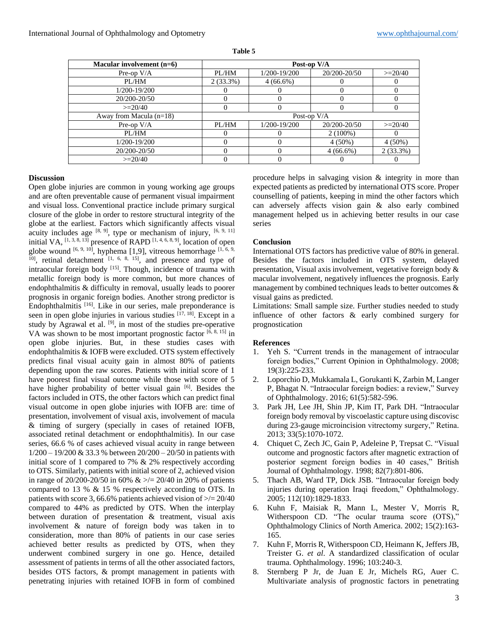| Macular involvement $(n=6)$ | Post-op V/A |              |              |             |
|-----------------------------|-------------|--------------|--------------|-------------|
| Pre-op $V/A$                | PL/HM       | 1/200-19/200 | 20/200-20/50 | $>=20/40$   |
| PL/HM                       | $2(33.3\%)$ | $4(66.6\%)$  |              |             |
| 1/200-19/200                |             |              |              |             |
| 20/200-20/50                |             |              |              |             |
| $>=20/40$                   |             |              |              |             |
| Away from Macula $(n=18)$   |             | Post-op V/A  |              |             |
| Pre-op $V/A$                | PL/HM       | 1/200-19/200 | 20/200-20/50 | $>=20/40$   |
| PL/HM                       |             |              | $2(100\%)$   |             |
| 1/200-19/200                |             |              | $4(50\%)$    | $4(50\%)$   |
| 20/200-20/50                |             |              | $4(66.6\%)$  | $2(33.3\%)$ |
| $>=20/40$                   |             |              |              |             |

| וחו<br>n |  |
|----------|--|
|----------|--|

## **Discussion**

Open globe injuries are common in young working age groups and are often preventable cause of permanent visual impairment and visual loss. Conventional practice include primary surgical closure of the globe in order to restore structural integrity of the globe at the earliest. Factors which significantly affects visual acuity includes age  $[8, 9]$ , type or mechanism of injury,  $[6, 9, 11]$ initial VA,  $^{[1, 3, 8, 13]}$  presence of RAPD  $^{[1, 4, 6, 8, 9]}$ , location of open globe wound  $[6, 9, 10]$ , hyphema [1,9], vitreous hemorrhage  $[1, 6, 9, 1]$ 10] , retinal detachment [1, 6, 8, 15] , and presence and type of intraocular foreign body [15]. Though, incidence of trauma with metallic foreign body is more common, but more chances of endophthalmitis & difficulty in removal, usually leads to poorer prognosis in organic foreign bodies. Another strong predictor is Endophthalmitis [16]. Like in our series, male preponderance is seen in open globe injuries in various studies [17, 18]. Except in a study by Agrawal et al.  $[9]$ , in most of the studies pre-operative VA was shown to be most important prognostic factor  $\left[6, 8, 15\right]$  in open globe injuries. But, in these studies cases with endophthalmitis & IOFB were excluded. OTS system effectively predicts final visual acuity gain in almost 80% of patients depending upon the raw scores. Patients with initial score of 1 have poorest final visual outcome while those with score of 5 have higher probability of better visual gain [6]. Besides the factors included in OTS, the other factors which can predict final visual outcome in open globe injuries with IOFB are: time of presentation, involvement of visual axis, involvement of macula & timing of surgery (specially in cases of retained IOFB, associated retinal detachment or endophthalmitis). In our case series, 66.6 % of cases achieved visual acuity in range between 1/200 – 19/200 & 33.3 % between 20/200 – 20/50 in patients with initial score of 1 compared to 7% & 2% respectively according to OTS. Similarly, patients with initial score of 2, achieved vision in range of 20/200-20/50 in 60%  $\& \geq 20/40$  in 20% of patients compared to 13 % & 15 % respectively according to OTS. In patients with score 3, 66.6% patients achieved vision of  $\ge$  = 20/40 compared to 44% as predicted by OTS. When the interplay between duration of presentation & treatment, visual axis involvement & nature of foreign body was taken in to consideration, more than 80% of patients in our case series achieved better results as predicted by OTS, when they underwent combined surgery in one go. Hence, detailed assessment of patients in terms of all the other associated factors, besides OTS factors, & prompt management in patients with penetrating injuries with retained IOFB in form of combined

procedure helps in salvaging vision & integrity in more than expected patients as predicted by international OTS score. Proper counselling of patients, keeping in mind the other factors which can adversely affects vision gain & also early combined management helped us in achieving better results in our case series

## **Conclusion**

International OTS factors has predictive value of 80% in general. Besides the factors included in OTS system, delayed presentation, Visual axis involvement, vegetative foreign body & macular involvement, negatively influences the prognosis. Early management by combined techniques leads to better outcomes & visual gains as predicted.

Limitations: Small sample size. Further studies needed to study influence of other factors & early combined surgery for prognostication

## **References**

- 1. Yeh S. "Current trends in the management of intraocular foreign bodies," Current Opinion in Ophthalmology. 2008; 19(3):225-233.
- 2. Loporchio D, Mukkamala L, Gorukanti K, Zarbin M, Langer P, Bhagat N. "Intraocular foreign bodies: a review," Survey of Ophthalmology. 2016; 61(5):582-596.
- 3. Park JH, Lee JH, Shin JP, Kim IT, Park DH. "Intraocular foreign body removal by viscoelastic capture using discovisc during 23-gauge microincision vitrectomy surgery," Retina. 2013; 33(5):1070-1072.
- 4. Chiquet C, Zech JC, Gain P, Adeleine P, Trepsat C. "Visual outcome and prognostic factors after magnetic extraction of posterior segment foreign bodies in 40 cases," British Journal of Ophthalmology. 1998; 82(7):801-806.
- 5. Thach AB, Ward TP, Dick JSB. "Intraocular foreign body injuries during operation Iraqi freedom," Ophthalmology. 2005; 112(10):1829-1833.
- 6. Kuhn F, Maisiak R, Mann L, Mester V, Morris R, Witherspoon CD. "The ocular trauma score (OTS)," Ophthalmology Clinics of North America. 2002; 15(2):163- 165.
- 7. Kuhn F, Morris R, Witherspoon CD, Heimann K, Jeffers JB, Treister G. *et al*. A standardized classification of ocular trauma. Ophthalmology. 1996; 103:240-3.
- 8. Sternberg P Jr, de Juan E Jr, Michels RG, Auer C. Multivariate analysis of prognostic factors in penetrating